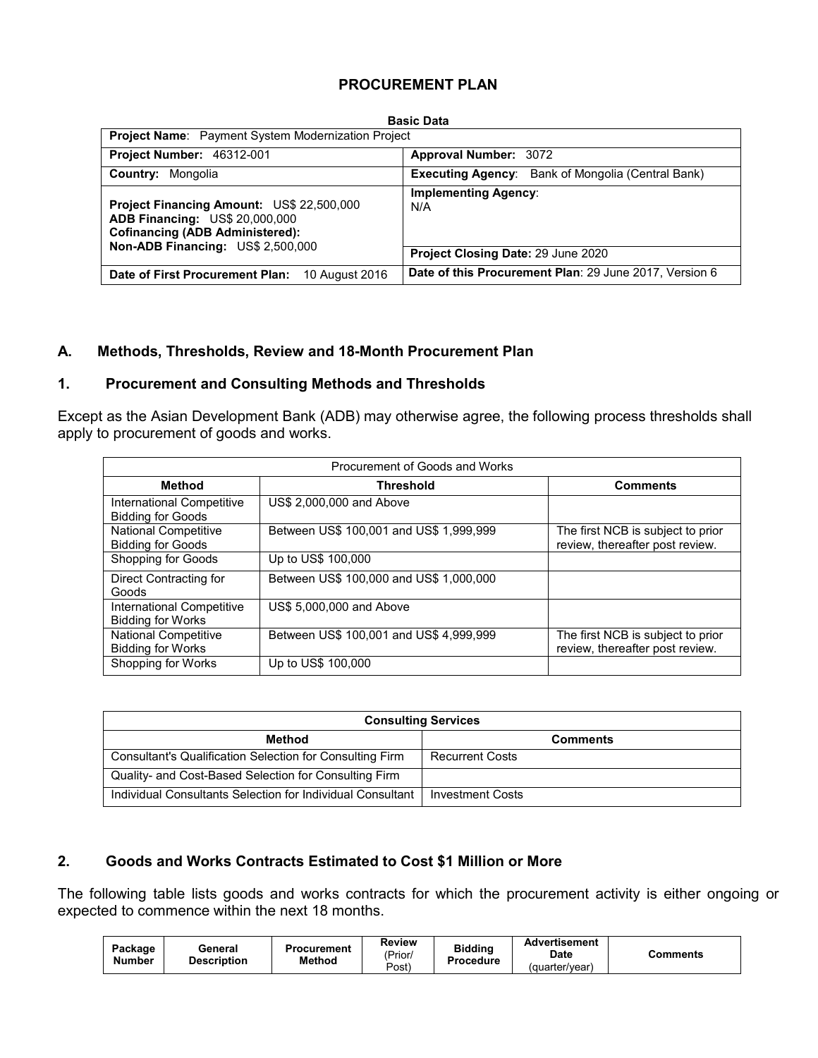## **PROCUREMENT PLAN**

| <b>Basic Data</b>                                                                                                            |                                                          |  |  |  |  |  |  |
|------------------------------------------------------------------------------------------------------------------------------|----------------------------------------------------------|--|--|--|--|--|--|
|                                                                                                                              | Project Name: Payment System Modernization Project       |  |  |  |  |  |  |
| Project Number: 46312-001                                                                                                    | Approval Number: 3072                                    |  |  |  |  |  |  |
| <b>Country: Mongolia</b>                                                                                                     | <b>Executing Agency:</b> Bank of Mongolia (Central Bank) |  |  |  |  |  |  |
| Project Financing Amount: US\$ 22,500,000<br><b>ADB Financing: US\$ 20,000,000</b><br><b>Cofinancing (ADB Administered):</b> | <b>Implementing Agency:</b><br>N/A                       |  |  |  |  |  |  |
| Non-ADB Financing: US\$ 2,500,000                                                                                            | Project Closing Date: 29 June 2020                       |  |  |  |  |  |  |
| Date of First Procurement Plan:<br>10 August 2016                                                                            | Date of this Procurement Plan: 29 June 2017, Version 6   |  |  |  |  |  |  |

## **A. Methods, Thresholds, Review and 18-Month Procurement Plan**

# **1. Procurement and Consulting Methods and Thresholds**

Except as the Asian Development Bank (ADB) may otherwise agree, the following process thresholds shall apply to procurement of goods and works.

|                                                         | Procurement of Goods and Works          |                                                                      |  |  |  |  |  |  |  |
|---------------------------------------------------------|-----------------------------------------|----------------------------------------------------------------------|--|--|--|--|--|--|--|
| <b>Method</b>                                           | <b>Threshold</b>                        | <b>Comments</b>                                                      |  |  |  |  |  |  |  |
| International Competitive<br><b>Bidding for Goods</b>   | US\$ 2,000,000 and Above                |                                                                      |  |  |  |  |  |  |  |
| National Competitive<br><b>Bidding for Goods</b>        | Between US\$ 100,001 and US\$ 1,999,999 | The first NCB is subject to prior<br>review, thereafter post review. |  |  |  |  |  |  |  |
| Shopping for Goods                                      | Up to US\$ 100,000                      |                                                                      |  |  |  |  |  |  |  |
| Direct Contracting for<br>Goods                         | Between US\$ 100,000 and US\$ 1,000,000 |                                                                      |  |  |  |  |  |  |  |
| International Competitive<br><b>Bidding for Works</b>   | US\$ 5,000,000 and Above                |                                                                      |  |  |  |  |  |  |  |
| <b>National Competitive</b><br><b>Bidding for Works</b> | Between US\$ 100,001 and US\$ 4,999,999 | The first NCB is subject to prior<br>review, thereafter post review. |  |  |  |  |  |  |  |
| Shopping for Works                                      | Up to US\$ 100,000                      |                                                                      |  |  |  |  |  |  |  |

| <b>Consulting Services</b>                                 |                         |  |  |  |  |  |
|------------------------------------------------------------|-------------------------|--|--|--|--|--|
| Method                                                     | <b>Comments</b>         |  |  |  |  |  |
| Consultant's Qualification Selection for Consulting Firm   | <b>Recurrent Costs</b>  |  |  |  |  |  |
| Quality- and Cost-Based Selection for Consulting Firm      |                         |  |  |  |  |  |
| Individual Consultants Selection for Individual Consultant | <b>Investment Costs</b> |  |  |  |  |  |

# **2. Goods and Works Contracts Estimated to Cost \$1 Million or More**

The following table lists goods and works contracts for which the procurement activity is either ongoing or expected to commence within the next 18 months.

| Package<br><b>Number</b> | General<br><b>Description</b> | Procurement<br><b>Method</b> | <b>Review</b><br>'Prior/<br>Post) | <b>Biddina</b><br>Procedure | Advertisement<br>Date<br>(quarter/vear) | Comments |
|--------------------------|-------------------------------|------------------------------|-----------------------------------|-----------------------------|-----------------------------------------|----------|
|--------------------------|-------------------------------|------------------------------|-----------------------------------|-----------------------------|-----------------------------------------|----------|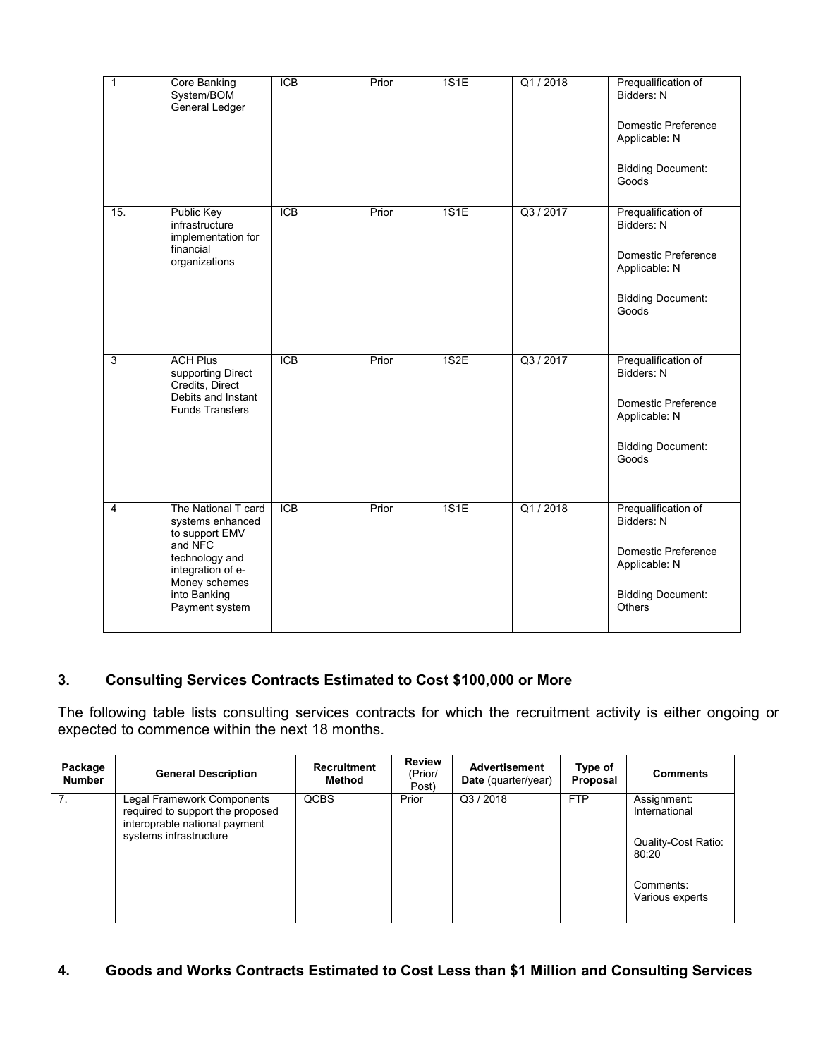| $\mathbf{1}$   | Core Banking<br>System/BOM<br>General Ledger                                                                                                                   | $\overline{ICB}$ | Prior | 1S1E | Q1/2018   | Prequalification of<br>Bidders: N<br>Domestic Preference<br>Applicable: N<br><b>Bidding Document:</b><br>Goods         |
|----------------|----------------------------------------------------------------------------------------------------------------------------------------------------------------|------------------|-------|------|-----------|------------------------------------------------------------------------------------------------------------------------|
| 15.            | Public Key<br>infrastructure<br>implementation for<br>financial<br>organizations                                                                               | $\overline{ICB}$ | Prior | 1S1E | Q3 / 2017 | Prequalification of<br>Bidders: N<br>Domestic Preference<br>Applicable: N<br><b>Bidding Document:</b><br>Goods         |
| 3              | <b>ACH Plus</b><br>supporting Direct<br>Credits, Direct<br>Debits and Instant<br><b>Funds Transfers</b>                                                        | $\overline{ICB}$ | Prior | 1S2E | Q3 / 2017 | Prequalification of<br>Bidders: N<br>Domestic Preference<br>Applicable: N<br><b>Bidding Document:</b><br>Goods         |
| $\overline{4}$ | The National T card<br>systems enhanced<br>to support EMV<br>and NFC<br>technology and<br>integration of e-<br>Money schemes<br>into Banking<br>Payment system | <b>ICB</b>       | Prior | 1S1E | Q1/2018   | Prequalification of<br>Bidders: N<br>Domestic Preference<br>Applicable: N<br><b>Bidding Document:</b><br><b>Others</b> |

# **3. Consulting Services Contracts Estimated to Cost \$100,000 or More**

The following table lists consulting services contracts for which the recruitment activity is either ongoing or expected to commence within the next 18 months.

| Package<br><b>Number</b> | <b>General Description</b>                                                                                                | <b>Recruitment</b><br>Method | <b>Review</b><br>(Prior/<br>Post) | <b>Advertisement</b><br>Date (quarter/year) | Type of<br>Proposal | <b>Comments</b>                                                                                     |
|--------------------------|---------------------------------------------------------------------------------------------------------------------------|------------------------------|-----------------------------------|---------------------------------------------|---------------------|-----------------------------------------------------------------------------------------------------|
| 7 <sub>1</sub>           | Legal Framework Components<br>required to support the proposed<br>interoprable national payment<br>systems infrastructure | <b>QCBS</b>                  | Prior                             | Q3/2018                                     | <b>FTP</b>          | Assignment:<br>International<br><b>Quality-Cost Ratio:</b><br>80:20<br>Comments:<br>Various experts |

# **4. Goods and Works Contracts Estimated to Cost Less than \$1 Million and Consulting Services**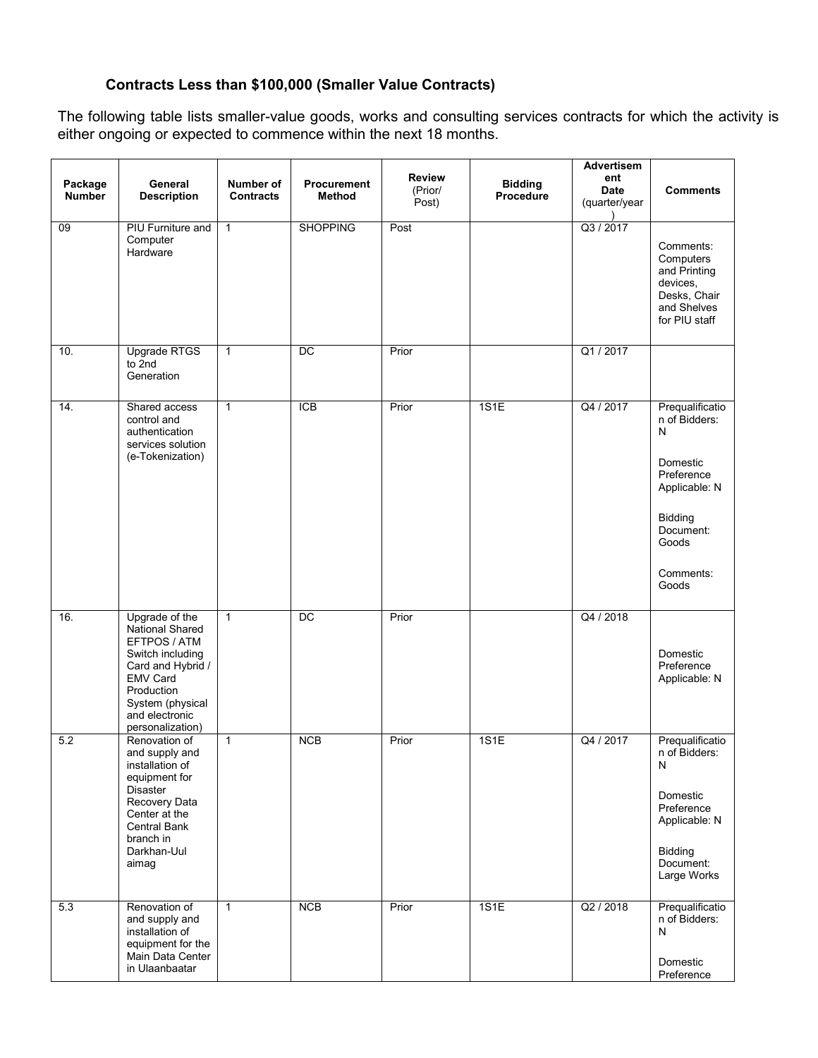# **Contracts Less than \$100,000 (Smaller Value Contracts)**

The following table lists smaller-value goods, works and consulting services contracts for which the activity is either ongoing or expected to commence within the next 18 months.

| Package<br><b>Number</b> | General<br><b>Description</b>                                                                                                                                                         | Number of<br><b>Contracts</b> | Procurement<br>Method | <b>Review</b><br>(Prior/ | <b>Bidding</b><br>Procedure | Advertisem<br>ent<br>Date | <b>Comments</b>                                                                                                                                    |
|--------------------------|---------------------------------------------------------------------------------------------------------------------------------------------------------------------------------------|-------------------------------|-----------------------|--------------------------|-----------------------------|---------------------------|----------------------------------------------------------------------------------------------------------------------------------------------------|
|                          |                                                                                                                                                                                       |                               |                       | Post)                    |                             | (quarter/year             |                                                                                                                                                    |
| 09                       | <b>PIU Furniture and</b><br>Computer<br>Hardware                                                                                                                                      | $\mathbf{1}$                  | <b>SHOPPING</b>       | Post                     |                             | Q3 / 2017                 | Comments:<br>Computers<br>and Printing<br>devices,<br>Desks, Chair<br>and Shelves<br>for PIU staff                                                 |
| 10.                      | <b>Upgrade RTGS</b><br>to 2nd<br>Generation                                                                                                                                           | $\mathbf{1}$                  | $\overline{DC}$       | Prior                    |                             | Q1 / 2017                 |                                                                                                                                                    |
| 14.                      | Shared access<br>control and<br>authentication<br>services solution<br>(e-Tokenization)                                                                                               | $\mathbf{1}$                  | $\overline{ICB}$      | Prior                    | 1S1E                        | Q4 / 2017                 | Prequalificatio<br>n of Bidders:<br>$\mathsf{N}$<br>Domestic<br>Preference<br>Applicable: N<br>Bidding<br>Document:<br>Goods<br>Comments:<br>Goods |
| 16.                      | Upgrade of the<br>National Shared<br>EFTPOS / ATM<br>Switch including<br>Card and Hybrid /<br><b>EMV Card</b><br>Production<br>System (physical<br>and electronic<br>personalization) | $\mathbf{1}$                  | $\overline{DC}$       | Prior                    |                             | Q4 / 2018                 | Domestic<br>Preference<br>Applicable: N                                                                                                            |
| 5.2                      | Renovation of<br>and supply and<br>installation of<br>equipment for<br><b>Disaster</b><br>Recovery Data<br>Center at the<br>Central Bank<br>branch in<br>Darkhan-Uul<br>aimag         | $\mathbf{1}$                  | NCB                   | Prior                    | 1S1E                        | Q4 / 2017                 | Prequalificatio<br>n of Bidders:<br>N<br>Domestic<br>Preference<br>Applicable: N<br><b>Bidding</b><br>Document:<br>Large Works                     |
| 5.3                      | Renovation of<br>and supply and<br>installation of<br>equipment for the<br>Main Data Center<br>in Ulaanbaatar                                                                         | $\mathbf{1}$                  | NCB                   | Prior                    | 1S1E                        | Q2 / 2018                 | Prequalificatio<br>n of Bidders:<br>N<br>Domestic<br>Preference                                                                                    |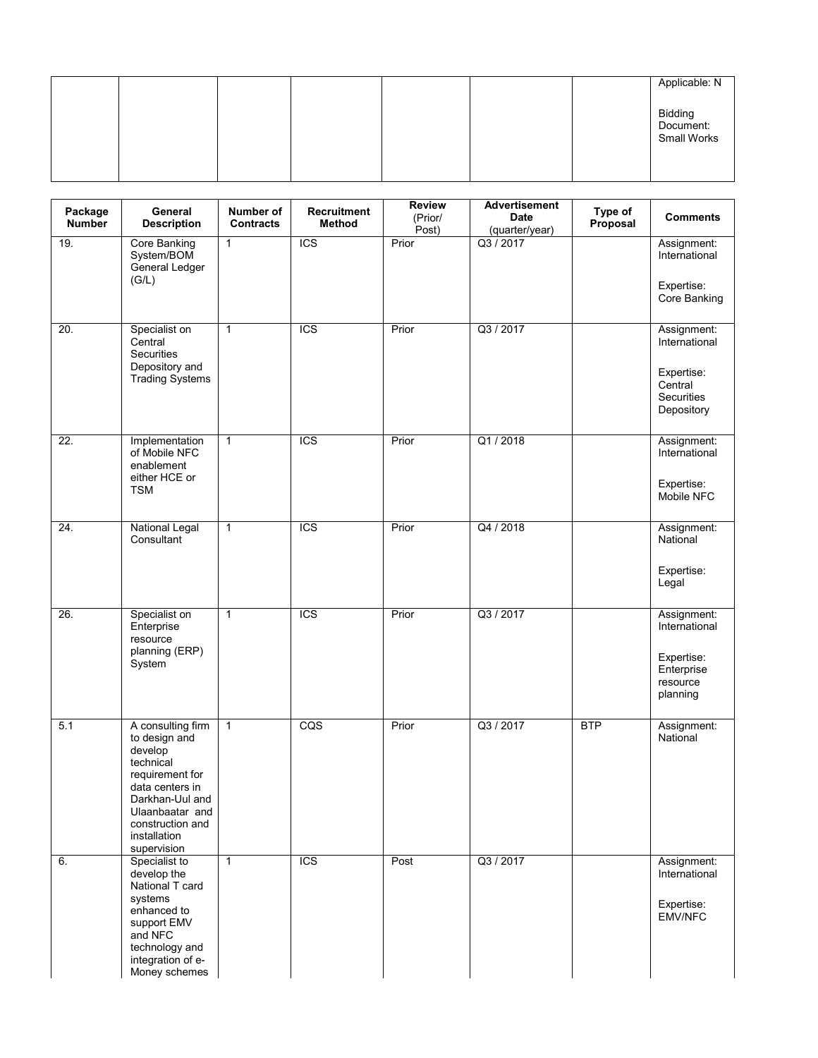|  |  |  | Applicable: N                       |
|--|--|--|-------------------------------------|
|  |  |  | Bidding<br>Document:<br>Small Works |
|  |  |  |                                     |

| Package<br><b>Number</b> | General<br><b>Description</b>                                                                                                                                                             | Number of<br><b>Contracts</b> | <b>Recruitment</b><br><b>Method</b> | <b>Review</b><br>(Prior/<br>Post) | <b>Advertisement</b><br>Date<br>(quarter/year) | Type of<br>Proposal | <b>Comments</b>                                   |
|--------------------------|-------------------------------------------------------------------------------------------------------------------------------------------------------------------------------------------|-------------------------------|-------------------------------------|-----------------------------------|------------------------------------------------|---------------------|---------------------------------------------------|
| 19.                      | Core Banking<br>System/BOM<br>General Ledger<br>(G/L)                                                                                                                                     | $\mathbf{1}$                  | $\overline{ICS}$                    | Prior                             | Q3 / 2017                                      |                     | Assignment:<br>International                      |
|                          |                                                                                                                                                                                           |                               |                                     |                                   |                                                |                     | Expertise:<br>Core Banking                        |
| 20.                      | Specialist on<br>Central<br><b>Securities</b><br>Depository and                                                                                                                           | $\mathbf{1}$                  | <b>ICS</b>                          | Prior                             | Q3 / 2017                                      |                     | Assignment:<br>International                      |
|                          | <b>Trading Systems</b>                                                                                                                                                                    |                               |                                     |                                   |                                                |                     | Expertise:<br>Central<br>Securities<br>Depository |
| 22.                      | Implementation<br>of Mobile NFC<br>enablement<br>either HCE or                                                                                                                            | $\mathbf{1}$                  | $\overline{ICS}$                    | Prior                             | Q1/2018                                        |                     | Assignment:<br>International<br>Expertise:        |
|                          | TSM                                                                                                                                                                                       |                               |                                     |                                   |                                                |                     | Mobile NFC                                        |
| 24.                      | <b>National Legal</b><br>Consultant                                                                                                                                                       | $\mathbf{1}$                  | <b>ICS</b>                          | Prior                             | Q4 / 2018                                      |                     | Assignment:<br>National                           |
|                          |                                                                                                                                                                                           |                               |                                     |                                   |                                                |                     | Expertise:<br>Legal                               |
| 26.                      | Specialist on<br>Enterprise<br>resource<br>planning (ERP)                                                                                                                                 | $\mathbf{1}$                  | <b>ICS</b>                          | Prior                             | Q3 / 2017                                      |                     | Assignment:<br>International                      |
|                          | System                                                                                                                                                                                    |                               |                                     |                                   |                                                |                     | Expertise:<br>Enterprise<br>resource<br>planning  |
| 5.1                      | A consulting firm<br>to design and<br>develop<br>technical<br>requirement for<br>data centers in<br>Darkhan-Uul and<br>Ulaanbaatar and<br>construction and<br>installation<br>supervision | $\mathbf{1}$                  | CQS                                 | Prior                             | Q3 / 2017                                      | <b>BTP</b>          | Assignment:<br>National                           |
| 6.                       | Specialist to<br>develop the<br>National T card                                                                                                                                           | $\mathbf{1}$                  | <b>ICS</b>                          | Post                              | Q3 / 2017                                      |                     | Assignment:<br>International                      |
|                          | systems<br>enhanced to<br>support EMV<br>and NFC<br>technology and                                                                                                                        |                               |                                     |                                   |                                                |                     | Expertise:<br><b>EMV/NFC</b>                      |
|                          | integration of e-<br>Money schemes                                                                                                                                                        |                               |                                     |                                   |                                                |                     |                                                   |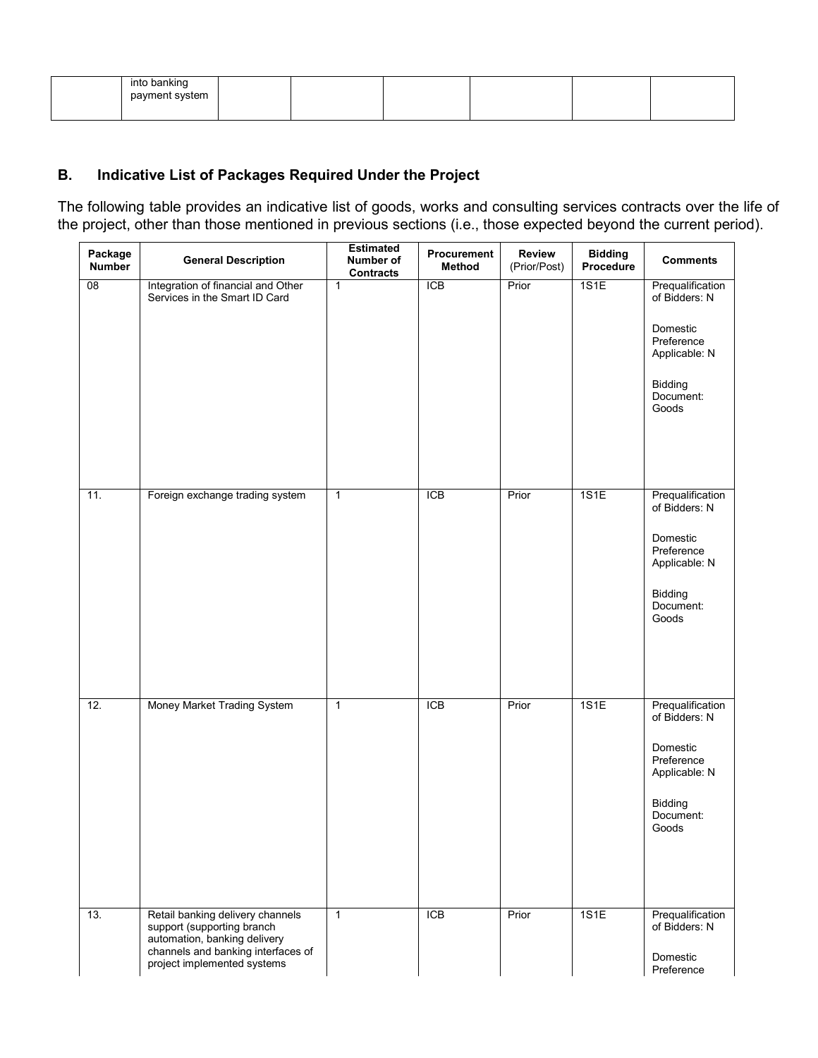| into banking<br>payment system |  |  |  |
|--------------------------------|--|--|--|
|                                |  |  |  |

# **B. Indicative List of Packages Required Under the Project**

The following table provides an indicative list of goods, works and consulting services contracts over the life of the project, other than those mentioned in previous sections (i.e., those expected beyond the current period).

| Package<br><b>Number</b> | <b>General Description</b>                                                                                                                                          | <b>Estimated</b><br>Number of<br><b>Contracts</b> | Procurement<br><b>Method</b> | <b>Review</b><br>(Prior/Post) | <b>Bidding</b><br>Procedure | <b>Comments</b>                                                                                               |
|--------------------------|---------------------------------------------------------------------------------------------------------------------------------------------------------------------|---------------------------------------------------|------------------------------|-------------------------------|-----------------------------|---------------------------------------------------------------------------------------------------------------|
| $\overline{08}$          | Integration of financial and Other<br>Services in the Smart ID Card                                                                                                 | $\mathbf{1}$                                      | <b>ICB</b>                   | Prior                         | 1S1E                        | Prequalification<br>of Bidders: N<br>Domestic<br>Preference<br>Applicable: N<br>Bidding<br>Document:<br>Goods |
| 11.                      | Foreign exchange trading system                                                                                                                                     | $\mathbf{1}$                                      | <b>ICB</b>                   | Prior                         | 1S1E                        | Prequalification<br>of Bidders: N<br>Domestic<br>Preference<br>Applicable: N<br>Bidding<br>Document:<br>Goods |
| 12.                      | Money Market Trading System                                                                                                                                         | $\mathbf{1}$                                      | <b>ICB</b>                   | Prior                         | 1S1E                        | Prequalification<br>of Bidders: N<br>Domestic<br>Preference<br>Applicable: N<br>Bidding<br>Document:<br>Goods |
| 13.                      | Retail banking delivery channels<br>support (supporting branch<br>automation, banking delivery<br>channels and banking interfaces of<br>project implemented systems | $\mathbf{1}$                                      | $\overline{ICB}$             | Prior                         | 1S1E                        | Prequalification<br>of Bidders: N<br>Domestic<br>Preference                                                   |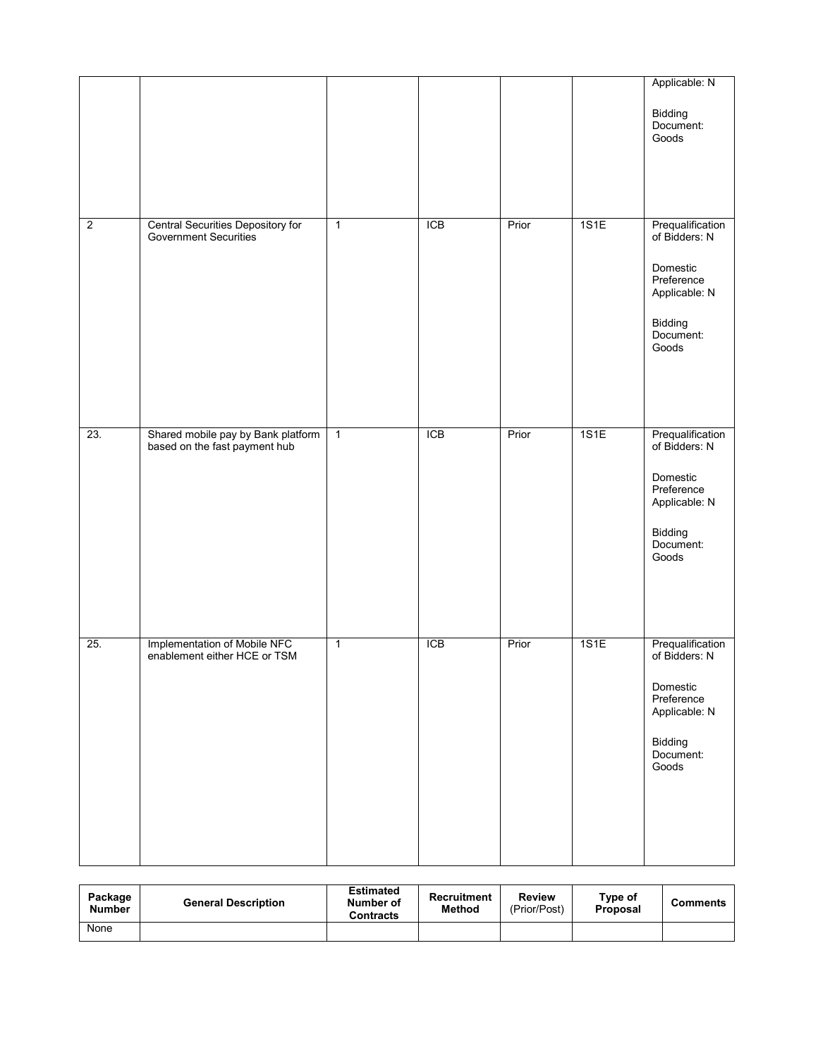|                |                                                                     |                |            |       |      | Applicable: N<br>Bidding<br>Document:<br>Goods                                                                |
|----------------|---------------------------------------------------------------------|----------------|------------|-------|------|---------------------------------------------------------------------------------------------------------------|
| $\overline{2}$ | Central Securities Depository for<br>Government Securities          | $\overline{1}$ | <b>ICB</b> | Prior | 1S1E | Prequalification<br>of Bidders: N<br>Domestic<br>Preference<br>Applicable: N<br>Bidding<br>Document:<br>Goods |
| 23.            | Shared mobile pay by Bank platform<br>based on the fast payment hub | $\overline{1}$ | <b>ICB</b> | Prior | 1S1E | Prequalification<br>of Bidders: N<br>Domestic<br>Preference<br>Applicable: N<br>Bidding<br>Document:<br>Goods |
| 25.            | Implementation of Mobile NFC<br>enablement either HCE or TSM        | $\overline{1}$ | <b>ICB</b> | Prior | 1S1E | Prequalification<br>of Bidders: N<br>Domestic<br>Preference<br>Applicable: N<br>Bidding<br>Document:<br>Goods |

| Package<br><b>Number</b> | <b>General Description</b> | <b>Estimated</b><br>Number of<br><b>Contracts</b> | Recruitment<br>Method | Review<br>(Prior/Post) | Type of<br>Proposal | <b>Comments</b> |
|--------------------------|----------------------------|---------------------------------------------------|-----------------------|------------------------|---------------------|-----------------|
| None                     |                            |                                                   |                       |                        |                     |                 |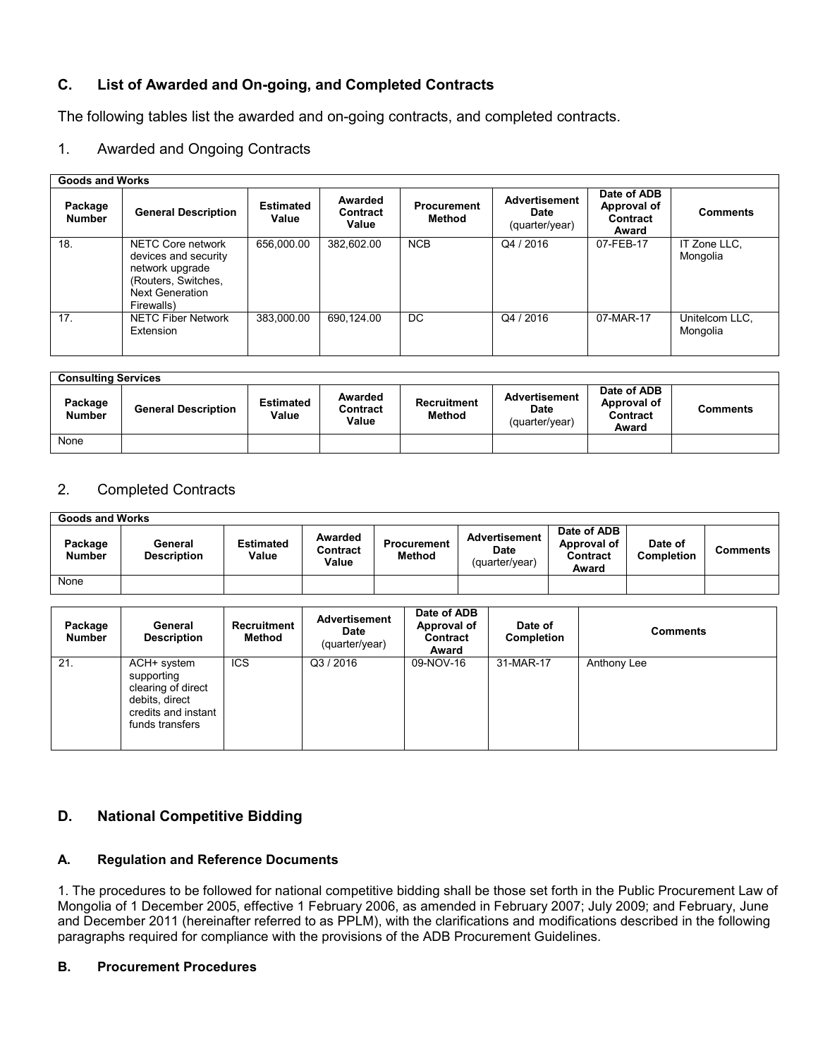# **C. List of Awarded and On-going, and Completed Contracts**

The following tables list the awarded and on-going contracts, and completed contracts.

## 1. Awarded and Ongoing Contracts

#### **Goods and Works**

| OUUUS GIIU TTUINS        |                                                                                                                             |                           |                              |                              |                                                       |                                                 |                            |  |
|--------------------------|-----------------------------------------------------------------------------------------------------------------------------|---------------------------|------------------------------|------------------------------|-------------------------------------------------------|-------------------------------------------------|----------------------------|--|
| Package<br><b>Number</b> | <b>General Description</b>                                                                                                  | <b>Estimated</b><br>Value | Awarded<br>Contract<br>Value | <b>Procurement</b><br>Method | <b>Advertisement</b><br><b>Date</b><br>(quarter/year) | Date of ADB<br>Approval of<br>Contract<br>Award | <b>Comments</b>            |  |
| 18.                      | NETC Core network<br>devices and security<br>network upgrade<br>(Routers, Switches,<br><b>Next Generation</b><br>Firewalls) | 656.000.00                | 382,602.00                   | <b>NCB</b>                   | Q4 / 2016                                             | 07-FEB-17                                       | IT Zone LLC,<br>Mongolia   |  |
| 17.                      | <b>NETC Fiber Network</b><br>Extension                                                                                      | 383.000.00                | 690,124.00                   | DC.                          | Q4 / 2016                                             | 07-MAR-17                                       | Unitelcom LLC,<br>Mongolia |  |

| <b>Consulting Services</b> |                            |                           |                              |                              |                                                       |                                                 |                 |  |  |
|----------------------------|----------------------------|---------------------------|------------------------------|------------------------------|-------------------------------------------------------|-------------------------------------------------|-----------------|--|--|
| Package<br><b>Number</b>   | <b>General Description</b> | <b>Estimated</b><br>Value | Awarded<br>Contract<br>Value | Recruitment<br><b>Method</b> | <b>Advertisement</b><br><b>Date</b><br>(quarter/year) | Date of ADB<br>Approval of<br>Contract<br>Award | <b>Comments</b> |  |  |
| None                       |                            |                           |                              |                              |                                                       |                                                 |                 |  |  |

## 2. Completed Contracts

| <b>Goods and Works</b>   |                               |                           |                              |                              |                                                |                                                        |                       |                 |  |
|--------------------------|-------------------------------|---------------------------|------------------------------|------------------------------|------------------------------------------------|--------------------------------------------------------|-----------------------|-----------------|--|
| Package<br><b>Number</b> | General<br><b>Description</b> | <b>Estimated</b><br>Value | Awarded<br>Contract<br>Value | <b>Procurement</b><br>Method | Advertisement<br><b>Date</b><br>(quarter/year) | Date of ADB<br>Approval of<br><b>Contract</b><br>Award | Date of<br>Completion | <b>Comments</b> |  |
| None                     |                               |                           |                              |                              |                                                |                                                        |                       |                 |  |

| Package<br><b>Number</b> | General<br><b>Description</b>                                                                               | <b>Recruitment</b><br>Method | <b>Advertisement</b><br><b>Date</b><br>(quarter/year) | Date of ADB<br>Approval of<br>Contract<br>Award | Date of<br>Completion | <b>Comments</b> |
|--------------------------|-------------------------------------------------------------------------------------------------------------|------------------------------|-------------------------------------------------------|-------------------------------------------------|-----------------------|-----------------|
| 21.                      | ACH+ system<br>supporting<br>clearing of direct<br>debits, direct<br>credits and instant<br>funds transfers | <b>ICS</b>                   | Q3/2016                                               | 09-NOV-16                                       | 31-MAR-17             | Anthony Lee     |

# **D. National Competitive Bidding**

#### **A. Regulation and Reference Documents**

1. The procedures to be followed for national competitive bidding shall be those set forth in the Public Procurement Law of Mongolia of 1 December 2005, effective 1 February 2006, as amended in February 2007; July 2009; and February, June and December 2011 (hereinafter referred to as PPLM), with the clarifications and modifications described in the following paragraphs required for compliance with the provisions of the ADB Procurement Guidelines.

#### **B. Procurement Procedures**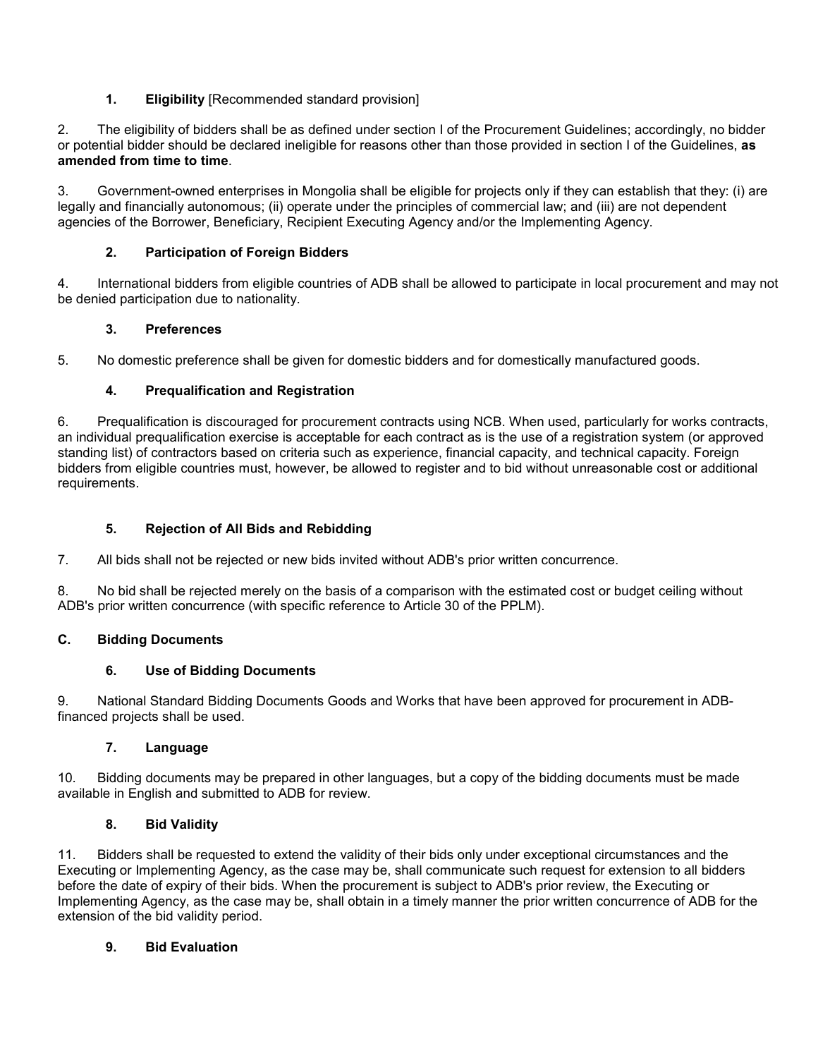## **1. Eligibility** [Recommended standard provision]

2. The eligibility of bidders shall be as defined under section I of the Procurement Guidelines; accordingly, no bidder or potential bidder should be declared ineligible for reasons other than those provided in section I of the Guidelines, **as amended from time to time**.

3. Government-owned enterprises in Mongolia shall be eligible for projects only if they can establish that they: (i) are legally and financially autonomous; (ii) operate under the principles of commercial law; and (iii) are not dependent agencies of the Borrower, Beneficiary, Recipient Executing Agency and/or the Implementing Agency.

### **2. Participation of Foreign Bidders**

4. International bidders from eligible countries of ADB shall be allowed to participate in local procurement and may not be denied participation due to nationality.

#### **3. Preferences**

5. No domestic preference shall be given for domestic bidders and for domestically manufactured goods.

## **4. Prequalification and Registration**

6. Prequalification is discouraged for procurement contracts using NCB. When used, particularly for works contracts, an individual prequalification exercise is acceptable for each contract as is the use of a registration system (or approved standing list) of contractors based on criteria such as experience, financial capacity, and technical capacity. Foreign bidders from eligible countries must, however, be allowed to register and to bid without unreasonable cost or additional requirements.

## **5. Rejection of All Bids and Rebidding**

7. All bids shall not be rejected or new bids invited without ADB's prior written concurrence.

8. No bid shall be rejected merely on the basis of a comparison with the estimated cost or budget ceiling without ADB's prior written concurrence (with specific reference to Article 30 of the PPLM).

#### **C. Bidding Documents**

#### **6. Use of Bidding Documents**

9. National Standard Bidding Documents Goods and Works that have been approved for procurement in ADBfinanced projects shall be used.

#### **7. Language**

10. Bidding documents may be prepared in other languages, but a copy of the bidding documents must be made available in English and submitted to ADB for review.

### **8. Bid Validity**

11. Bidders shall be requested to extend the validity of their bids only under exceptional circumstances and the Executing or Implementing Agency, as the case may be, shall communicate such request for extension to all bidders before the date of expiry of their bids. When the procurement is subject to ADB's prior review, the Executing or Implementing Agency, as the case may be, shall obtain in a timely manner the prior written concurrence of ADB for the extension of the bid validity period.

#### **9. Bid Evaluation**